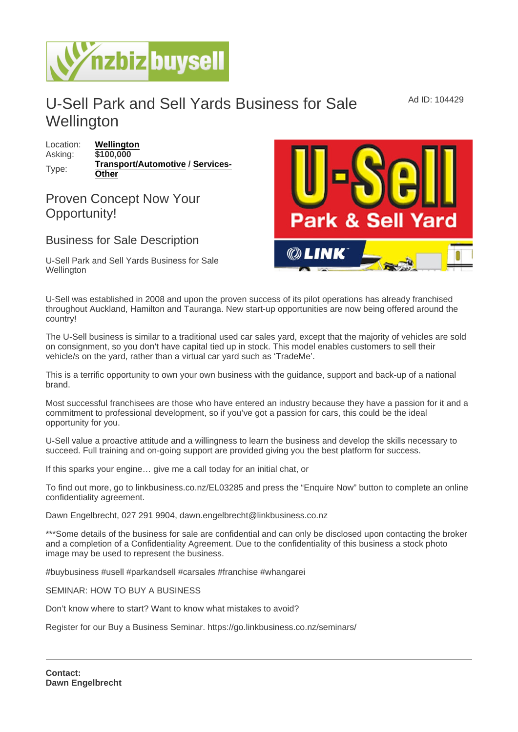## U-Sell Park and Sell Yards Business for Sale **Wellington**

Location: [Wellington](https://www.nzbizbuysell.co.nz/businesses-for-sale/location/Wellington) Asking: \$100,000 Type: [Transport/Automotive](https://www.nzbizbuysell.co.nz/businesses-for-sale/Transport--Automotive/New-Zealand) / [Services-](https://www.nzbizbuysell.co.nz/businesses-for-sale/Services/New-Zealand)**[Other](https://www.nzbizbuysell.co.nz/businesses-for-sale/Services/New-Zealand)** 

## Proven Concept Now Your Opportunity!

## Business for Sale Description

U-Sell Park and Sell Yards Business for Sale **Wellington** 

U-Sell was established in 2008 and upon the proven success of its pilot operations has already franchised throughout Auckland, Hamilton and Tauranga. New start-up opportunities are now being offered around the country!

The U-Sell business is similar to a traditional used car sales yard, except that the majority of vehicles are sold on consignment, so you don't have capital tied up in stock. This model enables customers to sell their vehicle/s on the yard, rather than a virtual car yard such as 'TradeMe'.

This is a terrific opportunity to own your own business with the guidance, support and back-up of a national brand.

Most successful franchisees are those who have entered an industry because they have a passion for it and a commitment to professional development, so if you've got a passion for cars, this could be the ideal opportunity for you.

U-Sell value a proactive attitude and a willingness to learn the business and develop the skills necessary to succeed. Full training and on-going support are provided giving you the best platform for success.

If this sparks your engine… give me a call today for an initial chat, or

To find out more, go to linkbusiness.co.nz/EL03285 and press the "Enquire Now" button to complete an online confidentiality agreement.

Dawn Engelbrecht, 027 291 9904, dawn.engelbrecht@linkbusiness.co.nz

\*\*\*Some details of the business for sale are confidential and can only be disclosed upon contacting the broker and a completion of a Confidentiality Agreement. Due to the confidentiality of this business a stock photo image may be used to represent the business.

#buybusiness #usell #parkandsell #carsales #franchise #whangarei

SEMINAR: HOW TO BUY A BUSINESS

Don't know where to start? Want to know what mistakes to avoid?

Register for our Buy a Business Seminar. https://go.linkbusiness.co.nz/seminars/